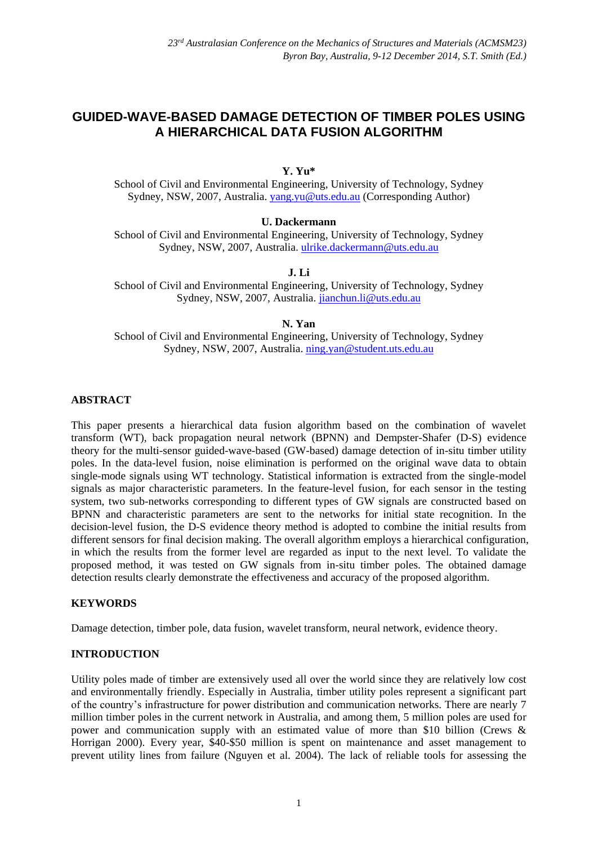# **GUIDED-WAVE-BASED DAMAGE DETECTION OF TIMBER POLES USING A HIERARCHICAL DATA FUSION ALGORITHM**

**Y. Yu\***

School of Civil and Environmental Engineering, University of Technology, Sydney Sydney, NSW, 2007, Australia. [yang.yu@uts.edu.au](mailto:yang.yu@uts.edu.au) (Corresponding Author)

### **U. Dackermann**

School of Civil and Environmental Engineering, University of Technology, Sydney Sydney, NSW, 2007, Australia. [ulrike.dackermann@uts.edu.au](mailto:ulrike.dackermann@uts.edu.au)

# **J. Li**

School of Civil and Environmental Engineering, University of Technology, Sydney Sydney, NSW, 2007, Australia. [jianchun.li@uts.edu.au](mailto:jianchun.li@uts.edu.au)

### **N. Yan**

School of Civil and Environmental Engineering, University of Technology, Sydney Sydney, NSW, 2007, Australia. [ning.yan@student.uts.edu.au](mailto:ning.yan@student.uts.edu.au)

## **ABSTRACT**

This paper presents a hierarchical data fusion algorithm based on the combination of wavelet transform (WT), back propagation neural network (BPNN) and Dempster-Shafer (D-S) evidence theory for the multi-sensor guided-wave-based (GW-based) damage detection of in-situ timber utility poles. In the data-level fusion, noise elimination is performed on the original wave data to obtain single-mode signals using WT technology. Statistical information is extracted from the single-model signals as major characteristic parameters. In the feature-level fusion, for each sensor in the testing system, two sub-networks corresponding to different types of GW signals are constructed based on BPNN and characteristic parameters are sent to the networks for initial state recognition. In the decision-level fusion, the D-S evidence theory method is adopted to combine the initial results from different sensors for final decision making. The overall algorithm employs a hierarchical configuration, in which the results from the former level are regarded as input to the next level. To validate the proposed method, it was tested on GW signals from in-situ timber poles. The obtained damage detection results clearly demonstrate the effectiveness and accuracy of the proposed algorithm.

# **KEYWORDS**

Damage detection, timber pole, data fusion, wavelet transform, neural network, evidence theory.

# **INTRODUCTION**

Utility poles made of timber are extensively used all over the world since they are relatively low cost and environmentally friendly. Especially in Australia, timber utility poles represent a significant part of the country's infrastructure for power distribution and communication networks. There are nearly 7 million timber poles in the current network in Australia, and among them, 5 million poles are used for power and communication supply with an estimated value of more than \$10 billion (Crews & Horrigan 2000). Every year, \$40-\$50 million is spent on maintenance and asset management to prevent utility lines from failure (Nguyen et al. 2004). The lack of reliable tools for assessing the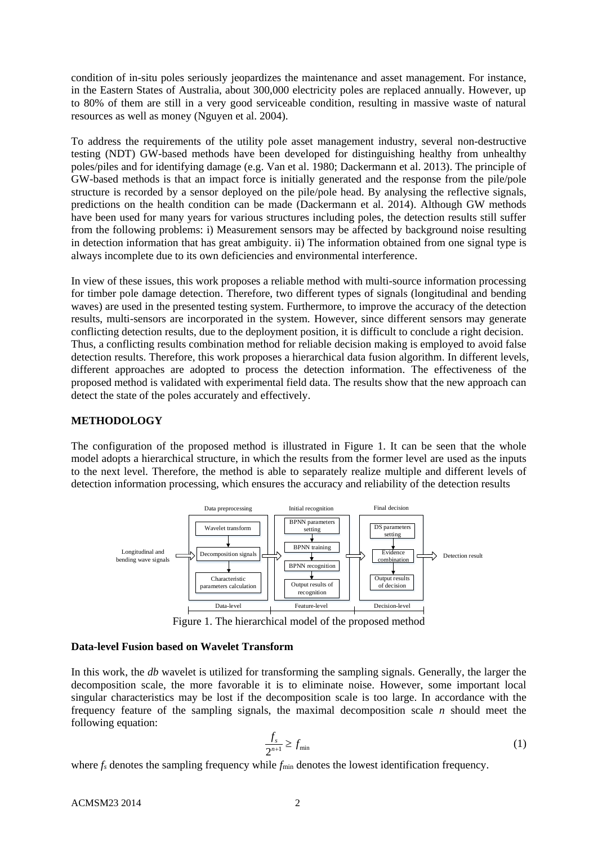condition of in-situ poles seriously jeopardizes the maintenance and asset management. For instance, in the Eastern States of Australia, about 300,000 electricity poles are replaced annually. However, up to 80% of them are still in a very good serviceable condition, resulting in massive waste of natural resources as well as money (Nguyen et al. 2004).

To address the requirements of the utility pole asset management industry, several non-destructive testing (NDT) GW-based methods have been developed for distinguishing healthy from unhealthy poles/piles and for identifying damage (e.g. Van et al. 1980; Dackermann et al. 2013). The principle of GW-based methods is that an impact force is initially generated and the response from the pile/pole structure is recorded by a sensor deployed on the pile/pole head. By analysing the reflective signals, predictions on the health condition can be made (Dackermann et al. 2014). Although GW methods have been used for many years for various structures including poles, the detection results still suffer from the following problems: i) Measurement sensors may be affected by background noise resulting in detection information that has great ambiguity. ii) The information obtained from one signal type is always incomplete due to its own deficiencies and environmental interference.

In view of these issues, this work proposes a reliable method with multi-source information processing for timber pole damage detection. Therefore, two different types of signals (longitudinal and bending waves) are used in the presented testing system. Furthermore, to improve the accuracy of the detection results, multi-sensors are incorporated in the system. However, since different sensors may generate conflicting detection results, due to the deployment position, it is difficult to conclude a right decision. Thus, a conflicting results combination method for reliable decision making is employed to avoid false detection results. Therefore, this work proposes a hierarchical data fusion algorithm. In different levels, different approaches are adopted to process the detection information. The effectiveness of the proposed method is validated with experimental field data. The results show that the new approach can detect the state of the poles accurately and effectively.

### **METHODOLOGY**

The configuration of the proposed method is illustrated in Figure 1. It can be seen that the whole model adopts a hierarchical structure, in which the results from the former level are used as the inputs to the next level. Therefore, the method is able to separately realize multiple and different levels of detection information processing, which ensures the accuracy and reliability of the detection results



Figure 1. The hierarchical model of the proposed method

### **Data-level Fusion based on Wavelet Transform**

In this work, the *db* wavelet is utilized for transforming the sampling signals. Generally, the larger the decomposition scale, the more favorable it is to eliminate noise. However, some important local singular characteristics may be lost if the decomposition scale is too large. In accordance with the frequency feature of the sampling signals, the maximal decomposition scale *n* should meet the following equation:

$$
\frac{f_s}{2^{n+1}} \ge f_{\min} \tag{1}
$$

where  $f_s$  denotes the sampling frequency while  $f_{min}$  denotes the lowest identification frequency.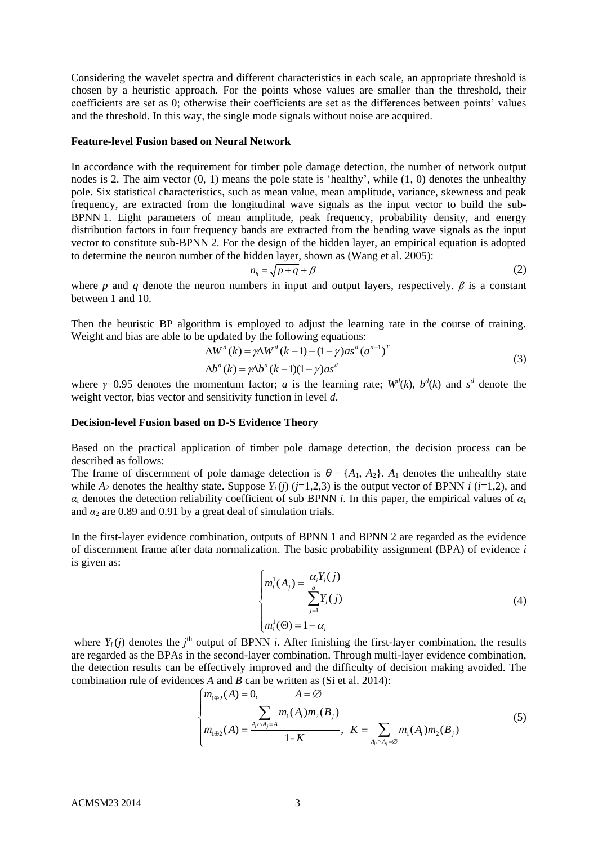Considering the wavelet spectra and different characteristics in each scale, an appropriate threshold is chosen by a heuristic approach. For the points whose values are smaller than the threshold, their coefficients are set as 0; otherwise their coefficients are set as the differences between points' values and the threshold. In this way, the single mode signals without noise are acquired.

#### **Feature-level Fusion based on Neural Network**

In accordance with the requirement for timber pole damage detection, the number of network output nodes is 2. The aim vector (0, 1) means the pole state is 'healthy', while (1, 0) denotes the unhealthy pole. Six statistical characteristics, such as mean value, mean amplitude, variance, skewness and peak frequency, are extracted from the longitudinal wave signals as the input vector to build the sub-BPNN 1. Eight parameters of mean amplitude, peak frequency, probability density, and energy distribution factors in four frequency bands are extracted from the bending wave signals as the input vector to constitute sub-BPNN 2. For the design of the hidden layer, an empirical equation is adopted to determine the neuron number of the hidden layer, shown as (Wang et al. 2005):

$$
n_h = \sqrt{p+q} + \beta \tag{2}
$$

where *p* and *q* denote the neuron numbers in input and output layers, respectively.  $\beta$  is a constant between 1 and 10.

Then the heuristic BP algorithm is employed to adjust the learning rate in the course of training. Weight and bias are able to be updated by the following equations:<br> $\Delta W^d(k) = \gamma \Delta W^d(k-1) - (1-\gamma) a s^d (a^{d-1})^T$ 

$$
\Delta W^d(k) = \gamma \Delta W^d(k-1) - (1-\gamma) a s^d (a^{d-1})^T
$$
\n(3)

$$
\Delta W^{a}(k) = \gamma \Delta W^{a}(k-1) - (1-\gamma)as^{a}(a^{a-1})
$$
  
\n
$$
\Delta b^{d}(k) = \gamma \Delta b^{d}(k-1)(1-\gamma)as^{d}
$$
\n(3)

where  $\gamma=0.95$  denotes the momentum factor; *a* is the learning rate;  $W^d(k)$ ,  $b^d(k)$  and  $s^d$  denote the weight vector, bias vector and sensitivity function in level *d*.

#### **Decision-level Fusion based on D-S Evidence Theory**

Based on the practical application of timber pole damage detection, the decision process can be described as follows:

The frame of discernment of pole damage detection is  $\theta = \{A_1, A_2\}$ .  $A_1$  denotes the unhealthy state while  $A_2$  denotes the healthy state. Suppose  $Y_i(j)$  ( $j=1,2,3$ ) is the output vector of BPNN  $i$  ( $i=1,2$ ), and  $\alpha_i$  denotes the detection reliability coefficient of sub BPNN *i*. In this paper, the empirical values of  $\alpha_1$ and  $\alpha_2$  are 0.89 and 0.91 by a great deal of simulation trials.

In the first-layer evidence combination, outputs of BPNN 1 and BPNN 2 are regarded as the evidence of discernment frame after data normalization. The basic probability assignment (BPA) of evidence *i* is given as:

$$
\begin{cases} m_i^1(A_j) = \frac{\alpha_i Y_i(j)}{\sum_{j=1}^q Y_i(j)} \\ m_i^1(\Theta) = 1 - \alpha_i \end{cases}
$$
 (4)

where  $Y_i(j)$  denotes the  $j^{\text{th}}$  output of BPNN *i*. After finishing the first-layer combination, the results are regarded as the BPAs in the second-layer combination. Through multi-layer evidence combination, the detection results can be effectively improved and the difficulty of decision making avoided. The the detection results can be effectively improved and the difficulty of<br>combination rule of evidences *A* and *B* can be written as (Si et al. 2014):<br> $\begin{cases} m_{1\oplus 2}(A) = 0, \quad A = \emptyset \end{cases}$ 

$$
\begin{cases}\nm_{1\oplus 2}(A) = 0, & A = \emptyset \\
\sum_{i=1}^{n_1} m_i(A_i) m_2(B_j) \\
m_{1\oplus 2}(A) = \frac{A_i \cap A_j = A}{1 - K}, & K = \sum_{A_i \cap A_j = \emptyset} m_i(A_i) m_2(B_j)\n\end{cases} (5)
$$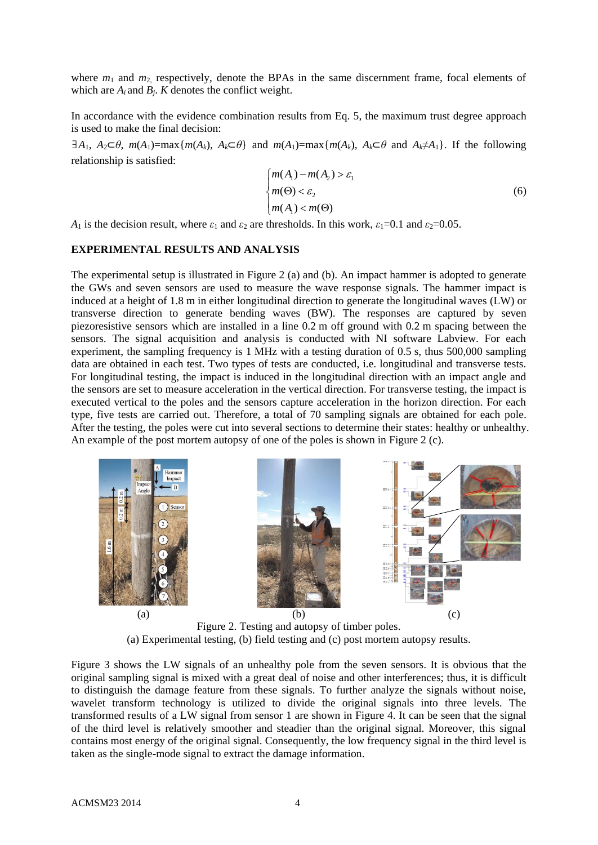where  $m_1$  and  $m_2$  respectively, denote the BPAs in the same discernment frame, focal elements of which are  $A_i$  and  $B_i$ . *K* denotes the conflict weight.

In accordance with the evidence combination results from Eq. 5, the maximum trust degree approach is used to make the final decision:

 $\exists A_1, A_2 \subset \theta$ ,  $m(A_1) = \max\{m(A_k), A_k \subset \theta\}$  and  $m(A_1) = \max\{m(A_k), A_k \subset \theta \text{ and } A_k \neq A_1\}$ . If the following relationship is satisfied:

$$
\begin{cases} m(A_1) - m(A_2) > \varepsilon_1 \\ m(\Theta) < \varepsilon_2 \\ m(A_1) < m(\Theta) \end{cases} \tag{6}
$$

*A*<sub>1</sub> is the decision result, where  $\varepsilon_1$  and  $\varepsilon_2$  are thresholds. In this work,  $\varepsilon_1=0.1$  and  $\varepsilon_2=0.05$ .

#### **EXPERIMENTAL RESULTS AND ANALYSIS**

The experimental setup is illustrated in Figure 2 (a) and (b). An impact hammer is adopted to generate the GWs and seven sensors are used to measure the wave response signals. The hammer impact is induced at a height of 1.8 m in either longitudinal direction to generate the longitudinal waves (LW) or transverse direction to generate bending waves (BW). The responses are captured by seven piezoresistive sensors which are installed in a line 0.2 m off ground with 0.2 m spacing between the sensors. The signal acquisition and analysis is conducted with NI software Labview. For each experiment, the sampling frequency is 1 MHz with a testing duration of 0.5 s, thus 500,000 sampling data are obtained in each test. Two types of tests are conducted, i.e. longitudinal and transverse tests. For longitudinal testing, the impact is induced in the longitudinal direction with an impact angle and the sensors are set to measure acceleration in the vertical direction. For transverse testing, the impact is executed vertical to the poles and the sensors capture acceleration in the horizon direction. For each type, five tests are carried out. Therefore, a total of 70 sampling signals are obtained for each pole. After the testing, the poles were cut into several sections to determine their states: healthy or unhealthy. An example of the post mortem autopsy of one of the poles is shown in Figure 2 (c).





Figure 2. Testing and autopsy of timber poles. (a) Experimental testing, (b) field testing and (c) post mortem autopsy results.

Figure 3 shows the LW signals of an unhealthy pole from the seven sensors. It is obvious that the original sampling signal is mixed with a great deal of noise and other interferences; thus, it is difficult to distinguish the damage feature from these signals. To further analyze the signals without noise, wavelet transform technology is utilized to divide the original signals into three levels. The transformed results of a LW signal from sensor 1 are shown in Figure 4. It can be seen that the signal of the third level is relatively smoother and steadier than the original signal. Moreover, this signal contains most energy of the original signal. Consequently, the low frequency signal in the third level is taken as the single-mode signal to extract the damage information.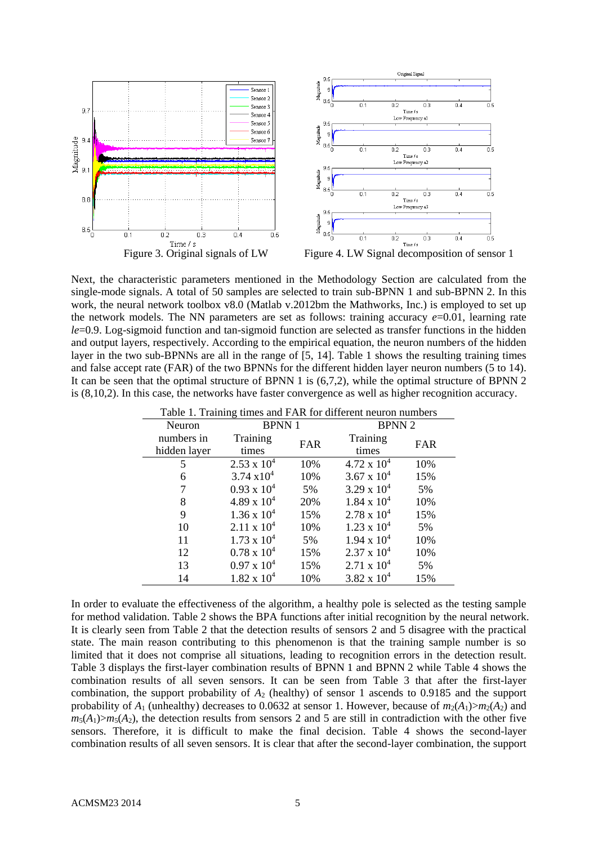

Next, the characteristic parameters mentioned in the Methodology Section are calculated from the single-mode signals. A total of 50 samples are selected to train sub-BPNN 1 and sub-BPNN 2. In this work, the neural network toolbox v8.0 (Matlab v.2012bm the Mathworks, Inc.) is employed to set up the network models. The NN parameters are set as follows: training accuracy  $e=0.01$ , learning rate *le*=0.9. Log-sigmoid function and tan-sigmoid function are selected as transfer functions in the hidden and output layers, respectively. According to the empirical equation, the neuron numbers of the hidden layer in the two sub-BPNNs are all in the range of [5, 14]. Table 1 shows the resulting training times and false accept rate (FAR) of the two BPNNs for the different hidden layer neuron numbers (5 to 14). It can be seen that the optimal structure of BPNN 1 is (6,7,2), while the optimal structure of BPNN 2 is (8,10,2). In this case, the networks have faster convergence as well as higher recognition accuracy.

| Table 1. Training times and PAR for different neuron numbers |                      |     |                      |     |  |  |
|--------------------------------------------------------------|----------------------|-----|----------------------|-----|--|--|
| Neuron                                                       | <b>BPNN1</b>         |     | <b>BPNN 2</b>        |     |  |  |
| numbers in                                                   | Training             | FAR | Training             | FAR |  |  |
| hidden layer                                                 | times                |     | times                |     |  |  |
| 5                                                            | $2.53 \times 10^{4}$ | 10% | $4.72 \times 10^{4}$ | 10% |  |  |
| 6                                                            | $3.74 \times 10^{4}$ | 10% | 3.67 x $10^4$        | 15% |  |  |
|                                                              | $0.93 \times 10^{4}$ | 5%  | $3.29 \times 10^{4}$ | 5%  |  |  |
| 8                                                            | $4.89 \times 10^{4}$ | 20% | $1.84 \times 10^4$   | 10% |  |  |
| 9                                                            | $1.36 \times 10^4$   | 15% | $2.78 \times 10^{4}$ | 15% |  |  |
| 10                                                           | $2.11 \times 10^{4}$ | 10% | $1.23 \times 10^{4}$ | 5%  |  |  |
| 11                                                           | $1.73 \times 10^{4}$ | 5%  | $1.94 \times 10^{4}$ | 10% |  |  |
| 12                                                           | $0.78 \times 10^{4}$ | 15% | $2.37 \times 10^{4}$ | 10% |  |  |
| 13                                                           | $0.97 \times 10^4$   | 15% | $2.71 \times 10^{4}$ | 5%  |  |  |
| 14                                                           | $1.82 \times 10^{4}$ | 10% | $3.82 \times 10^{4}$ | 15% |  |  |

Table 1. Training times and FAR for different neuron numbers

In order to evaluate the effectiveness of the algorithm, a healthy pole is selected as the testing sample for method validation. Table 2 shows the BPA functions after initial recognition by the neural network. It is clearly seen from Table 2 that the detection results of sensors 2 and 5 disagree with the practical state. The main reason contributing to this phenomenon is that the training sample number is so limited that it does not comprise all situations, leading to recognition errors in the detection result. Table 3 displays the first-layer combination results of BPNN 1 and BPNN 2 while Table 4 shows the combination results of all seven sensors. It can be seen from Table 3 that after the first-layer combination, the support probability of *A*<sup>2</sup> (healthy) of sensor 1 ascends to 0.9185 and the support probability of  $A_1$  (unhealthy) decreases to 0.0632 at sensor 1. However, because of  $m_2(A_1) > m_2(A_2)$  and  $m_5(A_1) > m_5(A_2)$ , the detection results from sensors 2 and 5 are still in contradiction with the other five sensors. Therefore, it is difficult to make the final decision. Table 4 shows the second-layer combination results of all seven sensors. It is clear that after the second-layer combination, the support